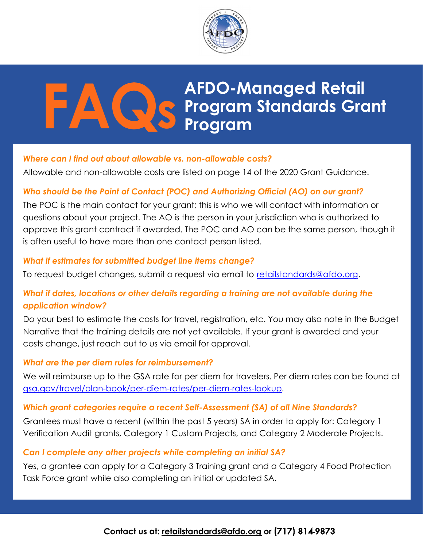

# S Program AFDO-Managed Retail Program Standards Grant Program

## Where can I find out about allowable vs. non-allowable costs?

Allowable and non-allowable costs are listed on page 14 of the 2020 Grant Guidance.

## Who should be the Point of Contact (POC) and Authorizing Official (AO) on our grant?

The POC is the main contact for your grant; this is who we will contact with information or questions about your project. The AO is the person in your jurisdiction who is authorized to approve this grant contract if awarded. The POC and AO can be the same person, though it is often useful to have more than one contact person listed.

#### What if estimates for submitted budget line items change?

To request budget changes, submit a request via email to retailstandards@afdo.org.

# What if dates, locations or other details regarding a training are not available during the application window?

Do your best to estimate the costs for travel, registration, etc. You may also note in the Budget Narrative that the training details are not yet available. If your grant is awarded and your costs change, just reach out to us via email for approval.

#### What are the per diem rules for reimbursement?

We will reimburse up to the GSA rate for per diem for travelers. Per diem rates can be found at gsa.gov/travel/plan-book/per-diem-rates/per-diem-rates-lookup.

#### Which grant categories require a recent Self-Assessment (SA) of all Nine Standards?

Grantees must have a recent (within the past 5 years) SA in order to apply for: Category 1 Verification Audit grants, Category 1 Custom Projects, and Category 2 Moderate Projects.

#### Can I complete any other projects while completing an initial SA?

Yes, a grantee can apply for a Category 3 Training grant and a Category 4 Food Protection Task Force grant while also completing an initial or updated SA.